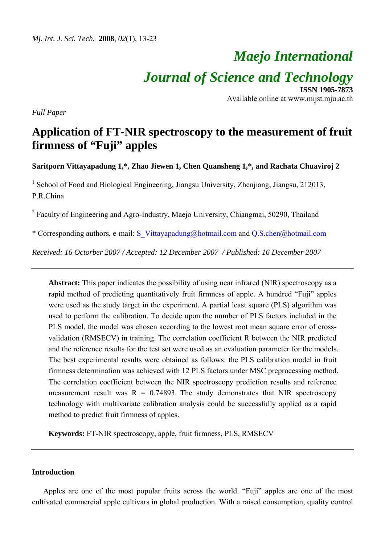# *Maejo International Journal of Science and Technology* **ISSN 1905-7873**

Available online at www.mijst.mju.ac.th

*Full Paper* 

# **Application of FT-NIR spectroscopy to the measurement of fruit firmness of "Fuji" apples**

**Saritporn Vittayapadung 1,\*, Zhao Jiewen 1, Chen Quansheng 1,\*, and Rachata Chuaviroj 2** 

<sup>1</sup> School of Food and Biological Engineering, Jiangsu University, Zhenjiang, Jiangsu, 212013, P.R.China

<sup>2</sup> Faculty of Engineering and Agro-Industry, Maejo University, Chiangmai, 50290, Thailand

\* Corresponding authors, e-mail: S\_Vittayapadung@hotmail.com and Q.S.chen@hotmail.com

*Received: 16 Octorber 2007 / Accepted: 12 December 2007 / Published: 16 December 2007* 

**Abstract:** This paper indicates the possibility of using near infrared (NIR) spectroscopy as a rapid method of predicting quantitatively fruit firmness of apple. A hundred "Fuji" apples were used as the study target in the experiment. A partial least square (PLS) algorithm was used to perform the calibration. To decide upon the number of PLS factors included in the PLS model, the model was chosen according to the lowest root mean square error of crossvalidation (RMSECV) in training. The correlation coefficient R between the NIR predicted and the reference results for the test set were used as an evaluation parameter for the models. The best experimental results were obtained as follows: the PLS calibration model in fruit firmness determination was achieved with 12 PLS factors under MSC preprocessing method. The correlation coefficient between the NIR spectroscopy prediction results and reference measurement result was  $R = 0.74893$ . The study demonstrates that NIR spectroscopy technology with multivariate calibration analysis could be successfully applied as a rapid method to predict fruit firmness of apples.

**Keywords:** FT-NIR spectroscopy, apple, fruit firmness, PLS, RMSECV

# **Introduction**

 Apples are one of the most popular fruits across the world. "Fuji" apples are one of the most cultivated commercial apple cultivars in global production. With a raised consumption, quality control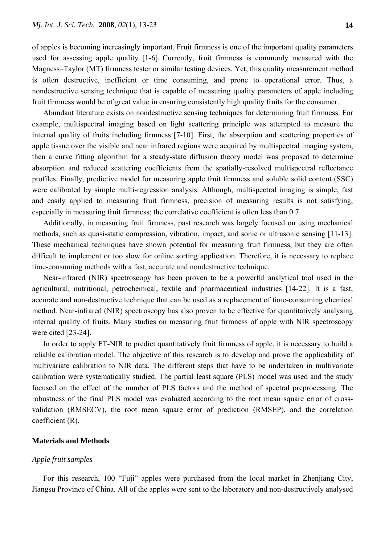of apples is becoming increasingly important. Fruit firmness is one of the important quality parameters used for assessing apple quality [1-6]. Currently, fruit firmness is commonly measured with the Magness–Taylor (MT) firmness tester or similar testing devices. Yet, this quality measurement method is often destructive, inefficient or time consuming, and prone to operational error. Thus, a nondestructive sensing technique that is capable of measuring quality parameters of apple including fruit firmness would be of great value in ensuring consistently high quality fruits for the consumer.

 Abundant literature exists on nondestructive sensing techniques for determining fruit firmness. For example, multispectral imaging based on light scattering principle was attempted to measure the internal quality of fruits including firmness [7-10]. First, the absorption and scattering properties of apple tissue over the visible and near infrared regions were acquired by multispectral imaging system, then a curve fitting algorithm for a steady-state diffusion theory model was proposed to determine absorption and reduced scattering coefficients from the spatially-resolved multispectral reflectance profiles. Finally, predictive model for measuring apple fruit firmness and soluble solid content (SSC) were calibrated by simple multi-regression analysis. Although, multispectral imaging is simple, fast and easily applied to measuring fruit firmness, precision of measuring results is not satisfying, especially in measuring fruit firmness; the correlative coefficient is often less than 0.7.

 Additionally, in measuring fruit firmness, past research was largely focused on using mechanical methods, such as quasi-static compression, vibration, impact, and sonic or ultrasonic sensing [11-13]. These mechanical techniques have shown potential for measuring fruit firmness, but they are often difficult to implement or too slow for online sorting application. Therefore, it is necessary to replace time-consuming methods with a fast, accurate and nondestructive technique.

Near-infrared (NIR) spectroscopy has been proven to be a powerful analytical tool used in the agricultural, nutritional, petrochemical, textile and pharmaceutical industries [14-22]. It is a fast, accurate and non-destructive technique that can be used as a replacement of time-consuming chemical method. Near-infrared (NIR) spectroscopy has also proven to be effective for quantitatively analysing internal quality of fruits. Many studies on measuring fruit firmness of apple with NIR spectroscopy were cited [23-24].

 In order to apply FT-NIR to predict quantitatively fruit firmness of apple, it is necessary to build a reliable calibration model. The objective of this research is to develop and prove the applicability of multivariate calibration to NIR data. The different steps that have to be undertaken in multivariate calibration were systematically studied. The partial least square (PLS) model was used and the study focused on the effect of the number of PLS factors and the method of spectral preprocessing. The robustness of the final PLS model was evaluated according to the root mean square error of crossvalidation (RMSECV), the root mean square error of prediction (RMSEP), and the correlation coefficient (R).

#### **Materials and Methods**

#### *Apple fruit samples*

 For this research, 100 "Fuji" apples were purchased from the local market in Zhenjiang City, Jiangsu Province of China. All of the apples were sent to the laboratory and non-destructively analysed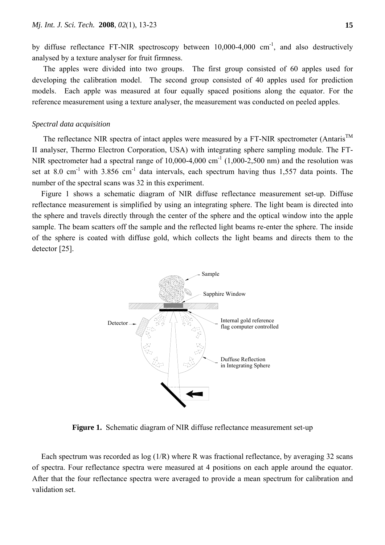by diffuse reflectance FT-NIR spectroscopy between  $10,000-4,000$  cm<sup>-1</sup>, and also destructively analysed by a texture analyser for fruit firmness.

 The apples were divided into two groups. The first group consisted of 60 apples used for developing the calibration model. The second group consisted of 40 apples used for prediction models. Each apple was measured at four equally spaced positions along the equator. For the reference measurement using a texture analyser, the measurement was conducted on peeled apples.

# *Spectral data acquisition*

The reflectance NIR spectra of intact apples were measured by a FT-NIR spectrometer (Antaris<sup>TM</sup> II analyser, Thermo Electron Corporation, USA) with integrating sphere sampling module. The FT-NIR spectrometer had a spectral range of  $10,000$ -4,000 cm<sup>-1</sup> (1,000-2,500 nm) and the resolution was set at 8.0 cm<sup>-1</sup> with 3.856 cm<sup>-1</sup> data intervals, each spectrum having thus 1,557 data points. The number of the spectral scans was 32 in this experiment.

Figure 1 shows a schematic diagram of NIR diffuse reflectance measurement set-up. Diffuse reflectance measurement is simplified by using an integrating sphere. The light beam is directed into the sphere and travels directly through the center of the sphere and the optical window into the apple sample. The beam scatters off the sample and the reflected light beams re-enter the sphere. The inside of the sphere is coated with diffuse gold, which collects the light beams and directs them to the detector [25].



**Figure 1.** Schematic diagram of NIR diffuse reflectance measurement set-up

Each spectrum was recorded as  $log(1/R)$  where R was fractional reflectance, by averaging 32 scans of spectra. Four reflectance spectra were measured at 4 positions on each apple around the equator. After that the four reflectance spectra were averaged to provide a mean spectrum for calibration and validation set.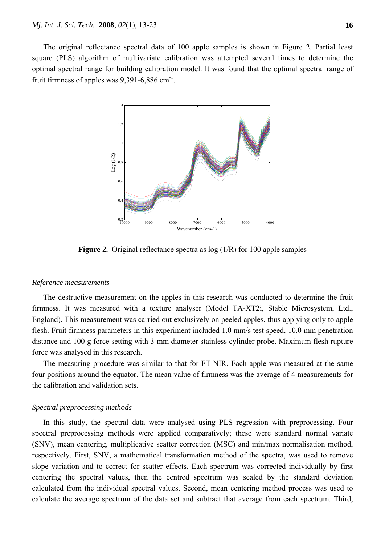The original reflectance spectral data of 100 apple samples is shown in Figure 2. Partial least square (PLS) algorithm of multivariate calibration was attempted several times to determine the optimal spectral range for building calibration model. It was found that the optimal spectral range of fruit firmness of apples was  $9,391-6,886$  cm<sup>-1</sup>.



**Figure 2.** Original reflectance spectra as  $log(1/R)$  for 100 apple samples

#### *Reference measurements*

 The destructive measurement on the apples in this research was conducted to determine the fruit firmness. It was measured with a texture analyser (Model TA-XT2i, Stable Microsystem, Ltd., England). This measurement was carried out exclusively on peeled apples, thus applying only to apple flesh. Fruit firmness parameters in this experiment included 1.0 mm/s test speed, 10.0 mm penetration distance and 100 g force setting with 3-mm diameter stainless cylinder probe. Maximum flesh rupture force was analysed in this research.

 The measuring procedure was similar to that for FT-NIR. Each apple was measured at the same four positions around the equator. The mean value of firmness was the average of 4 measurements for the calibration and validation sets.

# *Spectral preprocessing methods*

 In this study, the spectral data were analysed using PLS regression with preprocessing. Four spectral preprocessing methods were applied comparatively; these were standard normal variate (SNV), mean centering, multiplicative scatter correction (MSC) and min/max normalisation method, respectively. First, SNV, a mathematical transformation method of the spectra, was used to remove slope variation and to correct for scatter effects. Each spectrum was corrected individually by first centering the spectral values, then the centred spectrum was scaled by the standard deviation calculated from the individual spectral values. Second, mean centering method process was used to calculate the average spectrum of the data set and subtract that average from each spectrum. Third,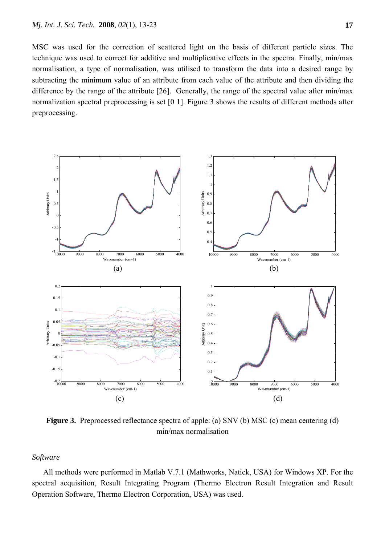MSC was used for the correction of scattered light on the basis of different particle sizes. The technique was used to correct for additive and multiplicative effects in the spectra. Finally, min/max normalisation, a type of normalisation, was utilised to transform the data into a desired range by subtracting the minimum value of an attribute from each value of the attribute and then dividing the difference by the range of the attribute [26]. Generally, the range of the spectral value after min/max normalization spectral preprocessing is set [0 1]. Figure 3 shows the results of different methods after preprocessing.



**Figure 3.** Preprocessed reflectance spectra of apple: (a) SNV (b) MSC (c) mean centering (d) min/max normalisation

# *Software*

 All methods were performed in Matlab V.7.1 (Mathworks, Natick, USA) for Windows XP. For the spectral acquisition, Result Integrating Program (Thermo Electron Result Integration and Result Operation Software, Thermo Electron Corporation, USA) was used.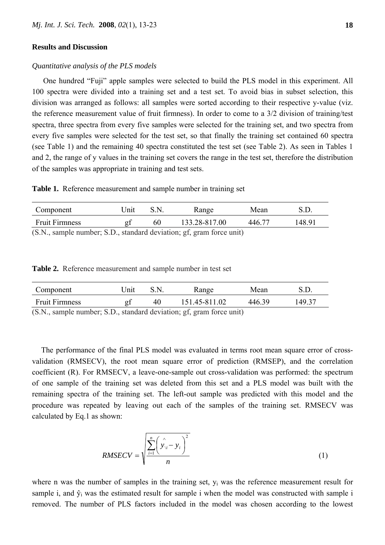## **Results and Discussion**

### *Quantitative analysis of the PLS models*

 One hundred "Fuji" apple samples were selected to build the PLS model in this experiment. All 100 spectra were divided into a training set and a test set. To avoid bias in subset selection, this division was arranged as follows: all samples were sorted according to their respective y-value (viz. the reference measurement value of fruit firmness). In order to come to a 3/2 division of training/test spectra, three spectra from every five samples were selected for the training set, and two spectra from every five samples were selected for the test set, so that finally the training set contained 60 spectra (see Table 1) and the remaining 40 spectra constituted the test set (see Table 2). As seen in Tables 1 and 2, the range of y values in the training set covers the range in the test set, therefore the distribution of the samples was appropriate in training and test sets.

**Table 1.** Reference measurement and sample number in training set

| Component                                                        | Jnit |    | Range         | Mean   |        |
|------------------------------------------------------------------|------|----|---------------|--------|--------|
| <b>Fruit Firmness</b>                                            |      | 60 | 133.28-817.00 | 446.77 | 148.91 |
| $(SN)$ sample number $SD$ standard deviation of gram force unit) |      |    |               |        |        |

(S.N., sample number; S.D., standard deviation; gf, gram force unit)

**Table 2.** Reference measurement and sample number in test set

| Component                                                                             | Jnıt |    | Range         | Mean   |        |
|---------------------------------------------------------------------------------------|------|----|---------------|--------|--------|
| <b>Fruit Firmness</b>                                                                 |      | 40 | 151.45-811.02 | 446.39 | 149 37 |
| $(\mathbb{C} N$ complementary $\mathbb{C} D$ standard deviation; of group farge unit) |      |    |               |        |        |

(S.N., sample number; S.D., standard deviation; gf, gram force unit)

The performance of the final PLS model was evaluated in terms root mean square error of crossvalidation (RMSECV), the root mean square error of prediction (RMSEP), and the correlation coefficient (R). For RMSECV, a leave-one-sample out cross-validation was performed: the spectrum of one sample of the training set was deleted from this set and a PLS model was built with the remaining spectra of the training set. The left-out sample was predicted with this model and the procedure was repeated by leaving out each of the samples of the training set. RMSECV was calculated by Eq.1 as shown:

$$
RMSECV = \sqrt{\frac{\sum_{i=1}^{n} (\hat{y}_{\setminus i} - y_i)^2}{n}}
$$
 (1)

where n was the number of samples in the training set,  $y_i$  was the reference measurement result for sample i, and  $\hat{v}_i$  was the estimated result for sample i when the model was constructed with sample i removed. The number of PLS factors included in the model was chosen according to the lowest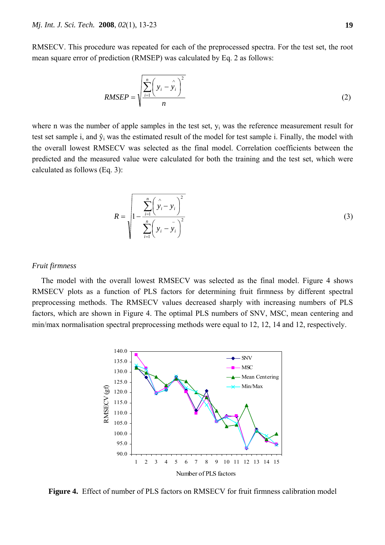RMSECV. This procedure was repeated for each of the preprocessed spectra. For the test set, the root mean square error of prediction (RMSEP) was calculated by Eq. 2 as follows:

$$
RMSEP = \sqrt{\frac{\sum_{i=1}^{n} \left(y_i - \hat{y}_i\right)^2}{n}}
$$
 (2)

where n was the number of apple samples in the test set,  $y_i$  was the reference measurement result for test set sample i, and  $\hat{y}_i$  was the estimated result of the model for test sample i. Finally, the model with the overall lowest RMSECV was selected as the final model. Correlation coefficients between the predicted and the measured value were calculated for both the training and the test set, which were calculated as follows (Eq. 3):

$$
R = \sqrt{\frac{\sum_{i=1}^{n} (\hat{y}_i - y_i)^2}{\sum_{i=1}^{n} (y_i - y_i)^2}}
$$
(3)

# *Fruit firmness*

The model with the overall lowest RMSECV was selected as the final model. Figure 4 shows RMSECV plots as a function of PLS factors for determining fruit firmness by different spectral preprocessing methods. The RMSECV values decreased sharply with increasing numbers of PLS factors, which are shown in Figure 4. The optimal PLS numbers of SNV, MSC, mean centering and min/max normalisation spectral preprocessing methods were equal to 12, 12, 14 and 12, respectively.



**Figure 4.** Effect of number of PLS factors on RMSECV for fruit firmness calibration model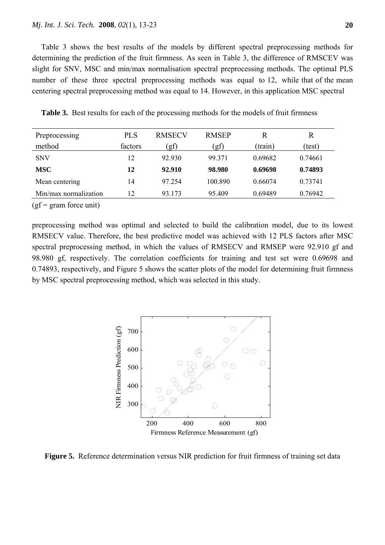Table 3 shows the best results of the models by different spectral preprocessing methods for determining the prediction of the fruit firmness. As seen in Table 3, the difference of RMSCEV was slight for SNV, MSC and min/max normalisation spectral preprocessing methods. The optimal PLS number of these three spectral preprocessing methods was equal to 12, while that of the mean centering spectral preprocessing method was equal to 14. However, in this application MSC spectral

| Preprocessing         | <b>PLS</b> | <b>RMSECV</b> | <b>RMSEP</b> | R       | R       |
|-----------------------|------------|---------------|--------------|---------|---------|
| method                | factors    | (gf           | (gf          | (train) | (test)  |
| <b>SNV</b>            | 12         | 92.930        | 99.371       | 0.69682 | 0.74661 |
| <b>MSC</b>            | 12         | 92.910        | 98.980       | 0.69698 | 0.74893 |
| Mean centering        | 14         | 97 254        | 100.890      | 0.66074 | 0.73741 |
| Min/max normalization | 12         | 93.173        | 95.409       | 0.69489 | 0.76942 |

**Table 3.** Best results for each of the processing methods for the models of fruit firmness

 $(gf = gram force unit)$ 

preprocessing method was optimal and selected to build the calibration model, due to its lowest RMSECV value. Therefore, the best predictive model was achieved with 12 PLS factors after MSC spectral preprocessing method, in which the values of RMSECV and RMSEP were 92.910 gf and 98.980 gf, respectively. The correlation coefficients for training and test set were 0.69698 and 0.74893, respectively, and Figure 5 shows the scatter plots of the model for determining fruit firmness by MSC spectral preprocessing method, which was selected in this study.



**Figure 5.** Reference determination versus NIR prediction for fruit firmness of training set data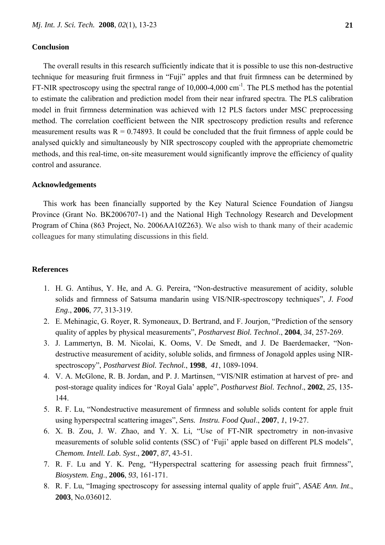# **Conclusion**

 The overall results in this research sufficiently indicate that it is possible to use this non-destructive technique for measuring fruit firmness in "Fuji" apples and that fruit firmness can be determined by FT-NIR spectroscopy using the spectral range of  $10,000-4,000$  cm<sup>-1</sup>. The PLS method has the potential to estimate the calibration and prediction model from their near infrared spectra. The PLS calibration model in fruit firmness determination was achieved with 12 PLS factors under MSC preprocessing method. The correlation coefficient between the NIR spectroscopy prediction results and reference measurement results was  $R = 0.74893$ . It could be concluded that the fruit firmness of apple could be analysed quickly and simultaneously by NIR spectroscopy coupled with the appropriate chemometric methods, and this real-time, on-site measurement would significantly improve the efficiency of quality control and assurance.

#### **Acknowledgements**

 This work has been financially supported by the Key Natural Science Foundation of Jiangsu Province (Grant No. BK2006707-1) and the National High Technology Research and Development Program of China (863 Project, No. 2006AA10Z263). We also wish to thank many of their academic colleagues for many stimulating discussions in this field.

# **References**

- 1. H. G. Antihus, Y. He, and A. G. Pereira, "Non-destructive measurement of acidity, soluble solids and firmness of Satsuma mandarin using VIS/NIR-spectroscopy techniques", *J. Food Eng*., **2006**, *77*, 313-319.
- 2. E. Mehinagic, G. Royer, R. Symoneaux, D. Bertrand, and F. Jourjon, "Prediction of the sensory quality of apples by physical measurements", *Postharvest Biol. Technol*., **2004**, *34*, 257-269.
- 3. J. Lammertyn, B. M. Nicolai, K. Ooms, V. De Smedt, and J. De Baerdemaeker, "Nondestructive measurement of acidity, soluble solids, and firmness of Jonagold apples using NIRspectroscopy", *Postharvest Biol. Technol.*, **1998**, *41*, 1089-1094.
- 4. V. A. McGlone, R. B. Jordan, and P. J. Martinsen, "VIS/NIR estimation at harvest of pre- and post-storage quality indices for 'Royal Gala' apple", *Postharvest Biol. Technol*., **2002**, *25*, 135- 144.
- 5. R. F. Lu, "Nondestructive measurement of firmness and soluble solids content for apple fruit using hyperspectral scattering images", *Sens. Instru. Food Qual*., **2007**, *1*, 19-27.
- 6. X. B. Zou, J. W. Zhao, and Y. X. Li, "Use of FT-NIR spectrometry in non-invasive measurements of soluble solid contents (SSC) of 'Fuji' apple based on different PLS models", *Chemom. Intell. Lab. Syst*., **2007**, *87*, 43-51.
- 7. R. F. Lu and Y. K. Peng, "Hyperspectral scattering for assessing peach fruit firmness", *Biosystem. Eng*., **2006**, *93*, 161-171.
- 8. R. F. Lu, "Imaging spectroscopy for assessing internal quality of apple fruit", *ASAE Ann. Int*., **2003**, No.036012.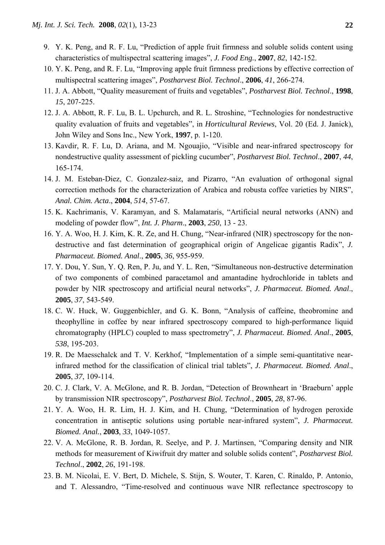- 9. Y. K. Peng, and R. F. Lu, "Prediction of apple fruit firmness and soluble solids content using characteristics of multispectral scattering images", *J. Food Eng.*, **2007**, *82*, 142-152.
- 10. Y. K. Peng, and R. F. Lu, "Improving apple fruit firmness predictions by effective correction of multispectral scattering images", *Postharvest Biol. Technol*., **2006**, *41*, 266-274.
- 11. J. A. Abbott, "Quality measurement of fruits and vegetables", *Postharvest Biol. Technol*., **1998**, *15*, 207-225.
- 12. J. A. Abbott, R. F. Lu, B. L. Upchurch, and R. L. Stroshine, "Technologies for nondestructive quality evaluation of fruits and vegetables", in *Horticultural Reviews*, Vol. 20 (Ed. J. Janick), John Wiley and Sons Inc., New York, **1997**, p. 1-120.
- 13. Kavdir, R. F. Lu, D. Ariana, and M. Ngouajio, "Visible and near-infrared spectroscopy for nondestructive quality assessment of pickling cucumber", *Postharvest Biol. Technol*., **2007**, *44*, 165-174.
- 14. J. M. Esteban-Diez, C. Gonzalez-saiz, and Pizarro, "An evaluation of orthogonal signal correction methods for the characterization of Arabica and robusta coffee varieties by NIRS", *Anal. Chim. Acta*., **2004**, *514*, 57-67.
- 15. K. Kachrimanis, V. Karamyan, and S. Malamataris, "Artificial neural networks (ANN) and modeling of powder flow", *Int. J. Pharm*., **2003**, *250*, 13 - 23.
- 16. Y. A. Woo, H. J. Kim, K. R. Ze, and H. Chung, "Near-infrared (NIR) spectroscopy for the nondestructive and fast determination of geographical origin of Angelicae gigantis Radix", *J. Pharmaceut. Biomed. Anal*., **2005**, *36*, 955-959.
- 17. Y. Dou, Y. Sun, Y. Q. Ren, P. Ju, and Y. L. Ren, "Simultaneous non-destructive determination of two components of combined paracetamol and amantadine hydrochloride in tablets and powder by NIR spectroscopy and artificial neural networks", *J. Pharmaceut. Biomed. Anal*., **2005**, *37*, 543-549.
- 18. C. W. Huck, W. Guggenbichler, and G. K. Bonn, "Analysis of caffeine, theobromine and theophylline in coffee by near infrared spectroscopy compared to high-performance liquid chromatography (HPLC) coupled to mass spectrometry", *J. Pharmaceut. Biomed. Anal*., **2005**, *538*, 195-203.
- 19. R. De Maesschalck and T. V. Kerkhof, "Implementation of a simple semi-quantitative nearinfrared method for the classification of clinical trial tablets", *J. Pharmaceut. Biomed. Anal*., **2005**, *37*, 109-114.
- 20. C. J. Clark, V. A. McGlone, and R. B. Jordan, "Detection of Brownheart in 'Braeburn' apple by transmission NIR spectroscopy", *Postharvest Biol. Technol*., **2005**, *28*, 87-96.
- 21. Y. A. Woo, H. R. Lim, H. J. Kim, and H. Chung, "Determination of hydrogen peroxide concentration in antiseptic solutions using portable near-infrared system", *J. Pharmaceut. Biomed. Anal.*, **2003**, *33*, 1049-1057.
- 22. V. A. McGlone, R. B. Jordan, R. Seelye, and P. J. Martinsen, "Comparing density and NIR methods for measurement of Kiwifruit dry matter and soluble solids content", *Postharvest Biol. Technol*., **2002**, *26*, 191-198.
- 23. B. M. Nicolai, E. V. Bert, D. Michele, S. Stijn, S. Wouter, T. Karen, C. Rinaldo, P. Antonio, and T. Alessandro, "Time-resolved and continuous wave NIR reflectance spectroscopy to